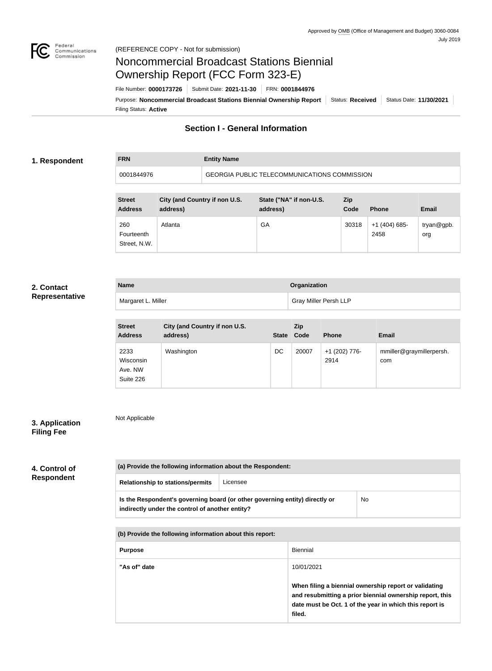

**FRN Entity Name**

# Noncommercial Broadcast Stations Biennial Ownership Report (FCC Form 323-E)

Filing Status: **Active** Purpose: Noncommercial Broadcast Stations Biennial Ownership Report | Status: Received | Status Date: 11/30/2021 File Number: **0000173726** Submit Date: **2021-11-30** FRN: **0001844976**

## **Section I - General Information**

## **1. Respondent**

0001844976 GEORGIA PUBLIC TELECOMMUNICATIONS COMMISSION

| <b>Street</b><br><b>Address</b>   | City (and Country if non U.S.<br>address) | State ("NA" if non-U.S.<br>address) | Zip<br>Code | <b>Phone</b>            | <b>Email</b>      |
|-----------------------------------|-------------------------------------------|-------------------------------------|-------------|-------------------------|-------------------|
| 260<br>Fourteenth<br>Street, N.W. | Atlanta                                   | GA                                  | 30318       | $+1$ (404) 685-<br>2458 | tryan@gpb.<br>org |

## **2. Contact Representative**

| <b>Name</b>        | <b>Organization</b>          |
|--------------------|------------------------------|
| Margaret L. Miller | <b>Gray Miller Persh LLP</b> |

| <b>Street</b><br><b>Address</b>           | City (and Country if non U.S.<br>address) | <b>State</b> | Zip<br>Code | <b>Phone</b>          | <b>Email</b>                    |
|-------------------------------------------|-------------------------------------------|--------------|-------------|-----------------------|---------------------------------|
| 2233<br>Wisconsin<br>Ave. NW<br>Suite 226 | Washington                                | DC           | 20007       | +1 (202) 776-<br>2914 | mmiller@graymillerpersh.<br>com |

## **3. Application Filing Fee**

Not Applicable

| 4. Control of     |  |
|-------------------|--|
| <b>Respondent</b> |  |

| (a) Provide the following information about the Respondent:                                                                           |          |  |  |  |
|---------------------------------------------------------------------------------------------------------------------------------------|----------|--|--|--|
| <b>Relationship to stations/permits</b>                                                                                               | Licensee |  |  |  |
| Is the Respondent's governing board (or other governing entity) directly or<br>No.<br>indirectly under the control of another entity? |          |  |  |  |
| (b) Provide the following information about this report:                                                                              |          |  |  |  |

| <b>Purpose</b> | Biennial                                                                                                                                                                               |
|----------------|----------------------------------------------------------------------------------------------------------------------------------------------------------------------------------------|
| "As of" date   | 10/01/2021                                                                                                                                                                             |
|                | When filing a biennial ownership report or validating<br>and resubmitting a prior biennial ownership report, this<br>date must be Oct. 1 of the year in which this report is<br>filed. |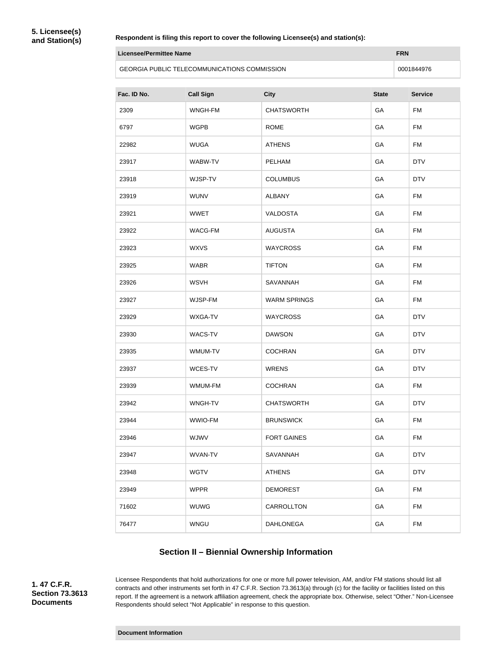**5. Licensee(s) and Station(s)**

#### **Respondent is filing this report to cover the following Licensee(s) and station(s):**

| Licensee/Permittee Name                             | <b>FRN</b> |
|-----------------------------------------------------|------------|
| <b>GEORGIA PUBLIC TELECOMMUNICATIONS COMMISSION</b> | 0001844976 |

| Fac. ID No. | <b>Call Sign</b> | <b>City</b>         | <b>State</b> | <b>Service</b> |
|-------------|------------------|---------------------|--------------|----------------|
| 2309        | WNGH-FM          | <b>CHATSWORTH</b>   | GA           | <b>FM</b>      |
| 6797        | <b>WGPB</b>      | <b>ROME</b>         | GA           | <b>FM</b>      |
| 22982       | <b>WUGA</b>      | <b>ATHENS</b>       | GA           | <b>FM</b>      |
| 23917       | WABW-TV          | PELHAM              | GA           | <b>DTV</b>     |
| 23918       | WJSP-TV          | <b>COLUMBUS</b>     | GA           | <b>DTV</b>     |
| 23919       | <b>WUNV</b>      | <b>ALBANY</b>       | GA           | <b>FM</b>      |
| 23921       | <b>WWET</b>      | <b>VALDOSTA</b>     | GA           | <b>FM</b>      |
| 23922       | WACG-FM          | <b>AUGUSTA</b>      | GA           | <b>FM</b>      |
| 23923       | <b>WXVS</b>      | <b>WAYCROSS</b>     | GA           | <b>FM</b>      |
| 23925       | <b>WABR</b>      | <b>TIFTON</b>       | GA           | <b>FM</b>      |
| 23926       | <b>WSVH</b>      | SAVANNAH            | GA           | <b>FM</b>      |
| 23927       | WJSP-FM          | <b>WARM SPRINGS</b> | GA           | <b>FM</b>      |
| 23929       | WXGA-TV          | <b>WAYCROSS</b>     | GA           | <b>DTV</b>     |
| 23930       | WACS-TV          | <b>DAWSON</b>       | GA           | <b>DTV</b>     |
| 23935       | WMUM-TV          | <b>COCHRAN</b>      | GA           | <b>DTV</b>     |
| 23937       | WCES-TV          | <b>WRENS</b>        | GA           | <b>DTV</b>     |
| 23939       | WMUM-FM          | <b>COCHRAN</b>      | GA           | <b>FM</b>      |
| 23942       | WNGH-TV          | <b>CHATSWORTH</b>   | GA           | <b>DTV</b>     |
| 23944       | WWIO-FM          | <b>BRUNSWICK</b>    | GA           | <b>FM</b>      |
| 23946       | WJWV             | <b>FORT GAINES</b>  | GA           | FM             |
| 23947       | <b>WVAN-TV</b>   | SAVANNAH            | GA           | <b>DTV</b>     |
| 23948       | <b>WGTV</b>      | <b>ATHENS</b>       | GA           | <b>DTV</b>     |
| 23949       | <b>WPPR</b>      | <b>DEMOREST</b>     | GA           | <b>FM</b>      |
| 71602       | <b>WUWG</b>      | CARROLLTON          | GA           | <b>FM</b>      |
| 76477       | <b>WNGU</b>      | <b>DAHLONEGA</b>    | GA           | <b>FM</b>      |

## **Section II – Biennial Ownership Information**

**1. 47 C.F.R. Section 73.3613 Documents**

Licensee Respondents that hold authorizations for one or more full power television, AM, and/or FM stations should list all contracts and other instruments set forth in 47 C.F.R. Section 73.3613(a) through (c) for the facility or facilities listed on this report. If the agreement is a network affiliation agreement, check the appropriate box. Otherwise, select "Other." Non-Licensee Respondents should select "Not Applicable" in response to this question.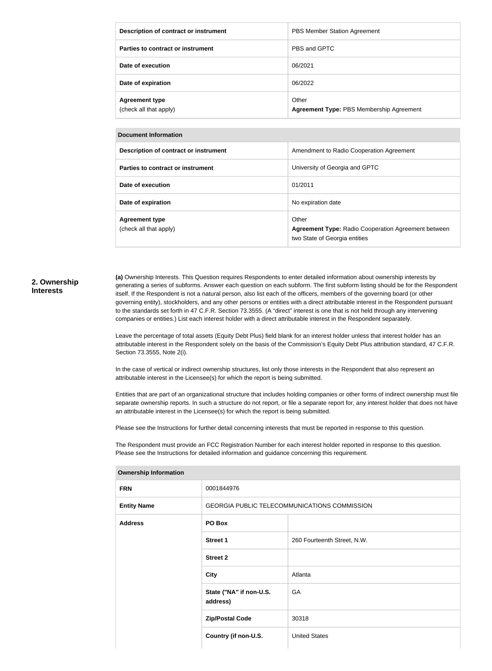| Description of contract or instrument           | PBS Member Station Agreement                      |
|-------------------------------------------------|---------------------------------------------------|
| Parties to contract or instrument               | PBS and GPTC                                      |
| Date of execution                               | 06/2021                                           |
| Date of expiration                              | 06/2022                                           |
| <b>Agreement type</b><br>(check all that apply) | Other<br>Agreement Type: PBS Membership Agreement |

#### **Document Information**

| Description of contract or instrument           | Amendment to Radio Cooperation Agreement                                                             |
|-------------------------------------------------|------------------------------------------------------------------------------------------------------|
| Parties to contract or instrument               | University of Georgia and GPTC                                                                       |
| Date of execution                               | 01/2011                                                                                              |
| Date of expiration                              | No expiration date                                                                                   |
| <b>Agreement type</b><br>(check all that apply) | Other<br><b>Agreement Type: Radio Cooperation Agreement between</b><br>two State of Georgia entities |

#### **2. Ownership Interests**

**(a)** Ownership Interests. This Question requires Respondents to enter detailed information about ownership interests by generating a series of subforms. Answer each question on each subform. The first subform listing should be for the Respondent itself. If the Respondent is not a natural person, also list each of the officers, members of the governing board (or other governing entity), stockholders, and any other persons or entities with a direct attributable interest in the Respondent pursuant to the standards set forth in 47 C.F.R. Section 73.3555. (A "direct" interest is one that is not held through any intervening companies or entities.) List each interest holder with a direct attributable interest in the Respondent separately.

Leave the percentage of total assets (Equity Debt Plus) field blank for an interest holder unless that interest holder has an attributable interest in the Respondent solely on the basis of the Commission's Equity Debt Plus attribution standard, 47 C.F.R. Section 73.3555, Note 2(i).

In the case of vertical or indirect ownership structures, list only those interests in the Respondent that also represent an attributable interest in the Licensee(s) for which the report is being submitted.

Entities that are part of an organizational structure that includes holding companies or other forms of indirect ownership must file separate ownership reports. In such a structure do not report, or file a separate report for, any interest holder that does not have an attributable interest in the Licensee(s) for which the report is being submitted.

Please see the Instructions for further detail concerning interests that must be reported in response to this question.

The Respondent must provide an FCC Registration Number for each interest holder reported in response to this question. Please see the Instructions for detailed information and guidance concerning this requirement.

| <b>Ownership Information</b> |                                              |                             |  |
|------------------------------|----------------------------------------------|-----------------------------|--|
| <b>FRN</b>                   | 0001844976                                   |                             |  |
| <b>Entity Name</b>           | GEORGIA PUBLIC TELECOMMUNICATIONS COMMISSION |                             |  |
| <b>Address</b>               | PO Box                                       |                             |  |
|                              | <b>Street 1</b>                              | 260 Fourteenth Street, N.W. |  |
|                              | <b>Street 2</b>                              |                             |  |
|                              | <b>City</b>                                  | Atlanta                     |  |
|                              | State ("NA" if non-U.S.<br>address)          | GA                          |  |
|                              | <b>Zip/Postal Code</b>                       | 30318                       |  |
|                              | Country (if non-U.S.                         | <b>United States</b>        |  |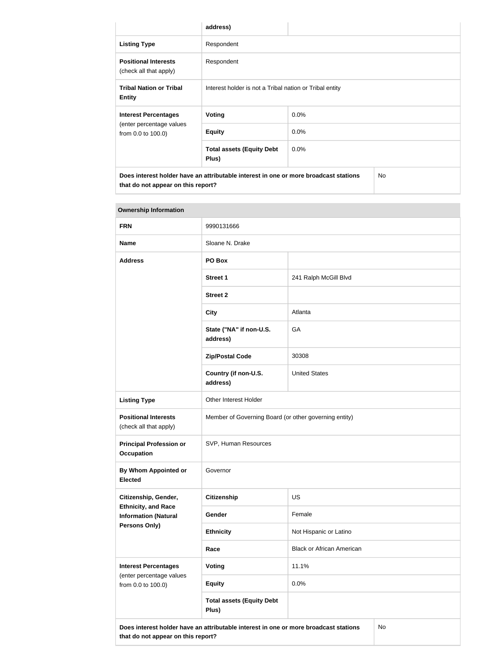|                                                                                                                                   | address)                                                |         |  |  |
|-----------------------------------------------------------------------------------------------------------------------------------|---------------------------------------------------------|---------|--|--|
| <b>Listing Type</b>                                                                                                               | Respondent                                              |         |  |  |
| <b>Positional Interests</b><br>(check all that apply)                                                                             | Respondent                                              |         |  |  |
| <b>Tribal Nation or Tribal</b><br><b>Entity</b>                                                                                   | Interest holder is not a Tribal nation or Tribal entity |         |  |  |
| <b>Interest Percentages</b>                                                                                                       | Voting                                                  | $0.0\%$ |  |  |
| (enter percentage values<br>from 0.0 to 100.0)                                                                                    | <b>Equity</b>                                           | 0.0%    |  |  |
|                                                                                                                                   | 0.0%<br><b>Total assets (Equity Debt</b><br>Plus)       |         |  |  |
| Does interest holder have an attributable interest in one or more broadcast stations<br>No.<br>that do not appear on this report? |                                                         |         |  |  |

| <b>Ownership Information</b>                              |                                                                                      |                                  |    |
|-----------------------------------------------------------|--------------------------------------------------------------------------------------|----------------------------------|----|
| <b>FRN</b>                                                | 9990131666                                                                           |                                  |    |
| <b>Name</b>                                               | Sloane N. Drake                                                                      |                                  |    |
| <b>Address</b>                                            | PO Box                                                                               |                                  |    |
|                                                           | <b>Street 1</b>                                                                      | 241 Ralph McGill Blvd            |    |
|                                                           | <b>Street 2</b>                                                                      |                                  |    |
|                                                           | <b>City</b>                                                                          | Atlanta                          |    |
|                                                           | State ("NA" if non-U.S.<br>address)                                                  | GA                               |    |
|                                                           | <b>Zip/Postal Code</b>                                                               | 30308                            |    |
|                                                           | Country (if non-U.S.<br>address)                                                     | <b>United States</b>             |    |
| <b>Listing Type</b>                                       | Other Interest Holder                                                                |                                  |    |
| <b>Positional Interests</b><br>(check all that apply)     | Member of Governing Board (or other governing entity)                                |                                  |    |
| <b>Principal Profession or</b><br><b>Occupation</b>       | SVP, Human Resources                                                                 |                                  |    |
| By Whom Appointed or<br><b>Elected</b>                    | Governor                                                                             |                                  |    |
| Citizenship, Gender,                                      | <b>Citizenship</b>                                                                   | US                               |    |
| <b>Ethnicity, and Race</b><br><b>Information (Natural</b> | Gender                                                                               | Female                           |    |
| <b>Persons Only)</b>                                      | <b>Ethnicity</b>                                                                     | Not Hispanic or Latino           |    |
|                                                           | Race                                                                                 | <b>Black or African American</b> |    |
| <b>Interest Percentages</b>                               | Voting                                                                               | 11.1%                            |    |
| (enter percentage values<br>from 0.0 to 100.0)            | <b>Equity</b>                                                                        | 0.0%                             |    |
|                                                           | <b>Total assets (Equity Debt</b><br>Plus)                                            |                                  |    |
|                                                           | Does interest holder have an attributable interest in one or more broadcast stations |                                  | No |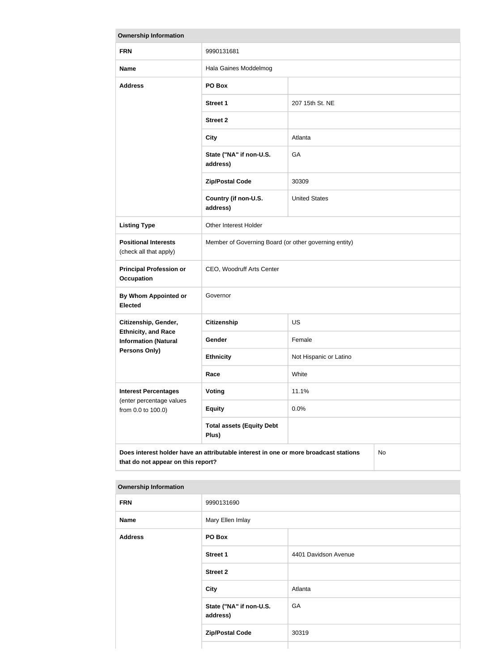| <b>Ownership Information</b>                                                                                                     |                                                       |                        |  |
|----------------------------------------------------------------------------------------------------------------------------------|-------------------------------------------------------|------------------------|--|
| <b>FRN</b>                                                                                                                       | 9990131681                                            |                        |  |
| <b>Name</b>                                                                                                                      | Hala Gaines Moddelmog                                 |                        |  |
| <b>Address</b>                                                                                                                   | PO Box                                                |                        |  |
|                                                                                                                                  | <b>Street 1</b>                                       | 207 15th St. NE        |  |
|                                                                                                                                  | <b>Street 2</b>                                       |                        |  |
|                                                                                                                                  | <b>City</b>                                           | Atlanta                |  |
|                                                                                                                                  | State ("NA" if non-U.S.<br>address)                   | GA                     |  |
|                                                                                                                                  | <b>Zip/Postal Code</b>                                | 30309                  |  |
|                                                                                                                                  | Country (if non-U.S.<br>address)                      | <b>United States</b>   |  |
| <b>Listing Type</b>                                                                                                              | Other Interest Holder                                 |                        |  |
| <b>Positional Interests</b><br>(check all that apply)                                                                            | Member of Governing Board (or other governing entity) |                        |  |
| <b>Principal Profession or</b><br><b>Occupation</b>                                                                              | CEO, Woodruff Arts Center                             |                        |  |
| <b>By Whom Appointed or</b><br><b>Elected</b>                                                                                    | Governor                                              |                        |  |
| Citizenship, Gender,                                                                                                             | <b>Citizenship</b>                                    | US                     |  |
| <b>Ethnicity, and Race</b><br><b>Information (Natural</b>                                                                        | Gender                                                | Female                 |  |
| <b>Persons Only)</b>                                                                                                             | <b>Ethnicity</b>                                      | Not Hispanic or Latino |  |
|                                                                                                                                  | Race                                                  | White                  |  |
| <b>Interest Percentages</b><br>(enter percentage values<br>from 0.0 to 100.0)                                                    | Voting                                                | 11.1%                  |  |
|                                                                                                                                  | <b>Equity</b>                                         | 0.0%                   |  |
|                                                                                                                                  | <b>Total assets (Equity Debt</b><br>Plus)             |                        |  |
| Does interest holder have an attributable interest in one or more broadcast stations<br>No<br>that do not appear on this report? |                                                       |                        |  |

| <b>Ownership Information</b> |                                     |                      |
|------------------------------|-------------------------------------|----------------------|
| <b>FRN</b>                   | 9990131690                          |                      |
| <b>Name</b>                  | Mary Ellen Imlay                    |                      |
| <b>Address</b>               | PO Box                              |                      |
|                              | Street 1                            | 4401 Davidson Avenue |
|                              | <b>Street 2</b>                     |                      |
|                              | <b>City</b>                         | Atlanta              |
|                              | State ("NA" if non-U.S.<br>address) | GA                   |
|                              | <b>Zip/Postal Code</b>              | 30319                |
|                              |                                     |                      |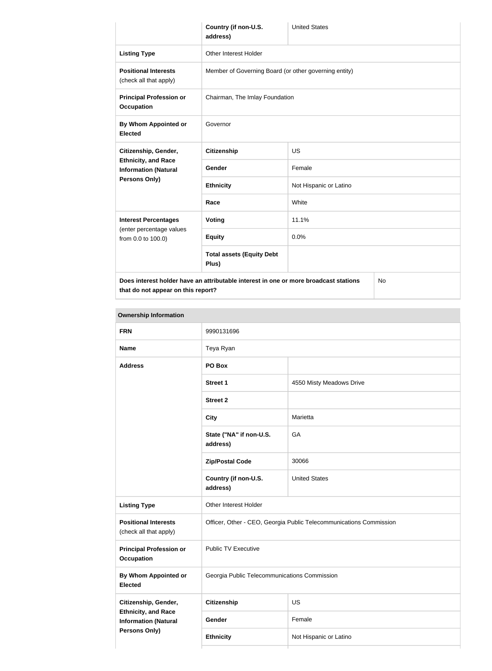|                                                                                            | Country (if non-U.S.<br>address)                      | <b>United States</b>   |  |
|--------------------------------------------------------------------------------------------|-------------------------------------------------------|------------------------|--|
| <b>Listing Type</b>                                                                        | <b>Other Interest Holder</b>                          |                        |  |
| <b>Positional Interests</b><br>(check all that apply)                                      | Member of Governing Board (or other governing entity) |                        |  |
| <b>Principal Profession or</b><br><b>Occupation</b>                                        | Chairman, The Imlay Foundation                        |                        |  |
| By Whom Appointed or<br><b>Elected</b>                                                     | Governor                                              |                        |  |
| Citizenship, Gender,                                                                       | <b>Citizenship</b>                                    | <b>US</b>              |  |
| <b>Ethnicity, and Race</b><br><b>Information (Natural</b>                                  | <b>Gender</b>                                         | Female                 |  |
| Persons Only)                                                                              | <b>Ethnicity</b>                                      | Not Hispanic or Latino |  |
|                                                                                            | Race                                                  | White                  |  |
| <b>Interest Percentages</b>                                                                | Voting                                                | 11.1%                  |  |
| (enter percentage values<br>from 0.0 to 100.0)                                             | <b>Equity</b>                                         | 0.0%                   |  |
|                                                                                            | <b>Total assets (Equity Debt</b><br>Plus)             |                        |  |
| Does interest holder have an attributable interest in one or more broadcast stations<br>No |                                                       |                        |  |

**Ownership Information FRN** 9990131696 **Name** Teya Ryan **Address PO Box Street 1** 4550 Misty Meadows Drive **Street 2 City** Marietta **State ("NA" if non-U.S. address)** GA **Zip/Postal Code** 30066 **Country (if non-U.S. address)** United States **Listing Type** Other Interest Holder **Positional Interests** (check all that apply) Officer, Other - CEO, Georgia Public Telecommunications Commission **Principal Profession or Occupation** Public TV Executive **By Whom Appointed or Elected** Georgia Public Telecommunications Commission **Citizenship, Gender, Ethnicity, and Race Information (Natural Persons Only) Citizenship** US Gender Female **Ethnicity** Not Hispanic or Latino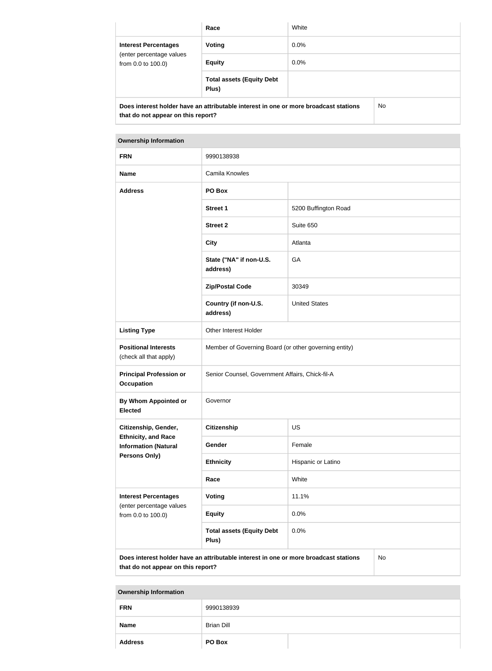|                                                                                             | Race                                      | White   |  |
|---------------------------------------------------------------------------------------------|-------------------------------------------|---------|--|
| <b>Interest Percentages</b><br>(enter percentage values<br>from 0.0 to 100.0)               | Voting                                    | $0.0\%$ |  |
|                                                                                             | <b>Equity</b>                             | $0.0\%$ |  |
|                                                                                             | <b>Total assets (Equity Debt</b><br>Plus) |         |  |
| Does interest holder have an attributable interest in one or more broadcast stations<br>No. |                                           |         |  |

| <b>Ownership Information</b>                                                  |                                                       |                      |
|-------------------------------------------------------------------------------|-------------------------------------------------------|----------------------|
| <b>FRN</b>                                                                    | 9990138938                                            |                      |
| <b>Name</b>                                                                   | Camila Knowles                                        |                      |
| <b>Address</b>                                                                | PO Box                                                |                      |
|                                                                               | <b>Street 1</b>                                       | 5200 Buffington Road |
|                                                                               | <b>Street 2</b>                                       | Suite 650            |
|                                                                               | <b>City</b>                                           | Atlanta              |
|                                                                               | State ("NA" if non-U.S.<br>address)                   | GA                   |
|                                                                               | <b>Zip/Postal Code</b>                                | 30349                |
|                                                                               | Country (if non-U.S.<br>address)                      | <b>United States</b> |
| <b>Listing Type</b>                                                           | Other Interest Holder                                 |                      |
| <b>Positional Interests</b><br>(check all that apply)                         | Member of Governing Board (or other governing entity) |                      |
| <b>Principal Profession or</b><br><b>Occupation</b>                           | Senior Counsel, Government Affairs, Chick-fil-A       |                      |
| <b>By Whom Appointed or</b><br><b>Elected</b>                                 | Governor                                              |                      |
| Citizenship, Gender,                                                          | Citizenship                                           | <b>US</b>            |
| <b>Ethnicity, and Race</b><br><b>Information (Natural</b>                     | Gender                                                | Female               |
| Persons Only)                                                                 | <b>Ethnicity</b>                                      | Hispanic or Latino   |
|                                                                               | Race                                                  | White                |
| <b>Interest Percentages</b><br>(enter percentage values<br>from 0.0 to 100.0) | <b>Voting</b>                                         | 11.1%                |
|                                                                               | <b>Equity</b>                                         | 0.0%                 |
|                                                                               | <b>Total assets (Equity Debt</b><br>Plus)             | 0.0%                 |

**Does interest holder have an attributable interest in one or more broadcast stations**  No **that do not appear on this report?**

| <b>FRN</b>     | 9990138939        |  |
|----------------|-------------------|--|
| <b>Name</b>    | <b>Brian Dill</b> |  |
| <b>Address</b> | PO Box            |  |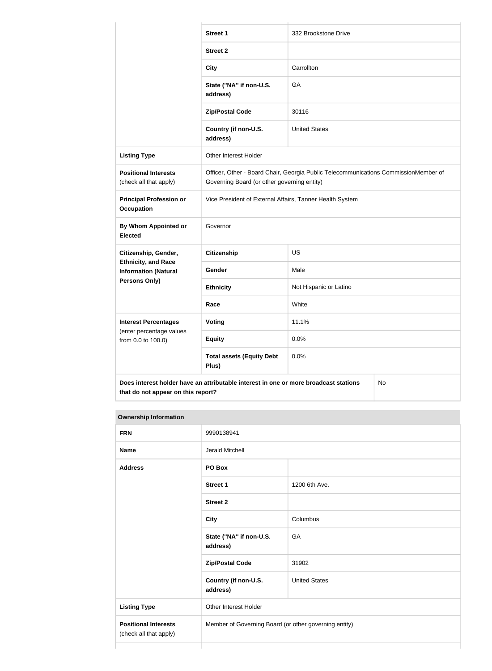|                                                                                            | <b>Street 1</b>                                                                                                                    | 332 Brookstone Drive   |  |
|--------------------------------------------------------------------------------------------|------------------------------------------------------------------------------------------------------------------------------------|------------------------|--|
|                                                                                            | <b>Street 2</b>                                                                                                                    |                        |  |
|                                                                                            | <b>City</b>                                                                                                                        | Carrollton             |  |
|                                                                                            | State ("NA" if non-U.S.<br>address)                                                                                                | GA                     |  |
|                                                                                            | <b>Zip/Postal Code</b>                                                                                                             | 30116                  |  |
|                                                                                            | Country (if non-U.S.<br>address)                                                                                                   | <b>United States</b>   |  |
| <b>Listing Type</b>                                                                        | Other Interest Holder                                                                                                              |                        |  |
| <b>Positional Interests</b><br>(check all that apply)                                      | Officer, Other - Board Chair, Georgia Public Telecommunications CommissionMember of<br>Governing Board (or other governing entity) |                        |  |
| <b>Principal Profession or</b><br><b>Occupation</b>                                        | Vice President of External Affairs, Tanner Health System                                                                           |                        |  |
| <b>By Whom Appointed or</b><br><b>Elected</b>                                              | Governor                                                                                                                           |                        |  |
| Citizenship, Gender,                                                                       | <b>Citizenship</b>                                                                                                                 | US                     |  |
| <b>Ethnicity, and Race</b><br><b>Information (Natural</b>                                  | Gender                                                                                                                             | Male                   |  |
| <b>Persons Only)</b>                                                                       | <b>Ethnicity</b>                                                                                                                   | Not Hispanic or Latino |  |
|                                                                                            | Race                                                                                                                               | White                  |  |
| <b>Interest Percentages</b>                                                                | <b>Voting</b>                                                                                                                      | 11.1%                  |  |
| (enter percentage values<br>from 0.0 to 100.0)                                             | <b>Equity</b>                                                                                                                      | 0.0%                   |  |
|                                                                                            | <b>Total assets (Equity Debt</b><br>Plus)                                                                                          | 0.0%                   |  |
| Does interest holder have an attributable interest in one or more broadcast stations<br>No |                                                                                                                                    |                        |  |

No

| <b>FRN</b>                                            | 9990138941                                            |                      |
|-------------------------------------------------------|-------------------------------------------------------|----------------------|
| <b>Name</b>                                           | <b>Jerald Mitchell</b>                                |                      |
| <b>Address</b>                                        | PO Box                                                |                      |
|                                                       | <b>Street 1</b>                                       | 1200 6th Ave.        |
|                                                       | <b>Street 2</b>                                       |                      |
|                                                       | <b>City</b>                                           | Columbus             |
|                                                       | State ("NA" if non-U.S.<br>address)                   | <b>GA</b>            |
|                                                       | <b>Zip/Postal Code</b>                                | 31902                |
|                                                       | Country (if non-U.S.<br>address)                      | <b>United States</b> |
| <b>Listing Type</b>                                   | <b>Other Interest Holder</b>                          |                      |
| <b>Positional Interests</b><br>(check all that apply) | Member of Governing Board (or other governing entity) |                      |
|                                                       |                                                       |                      |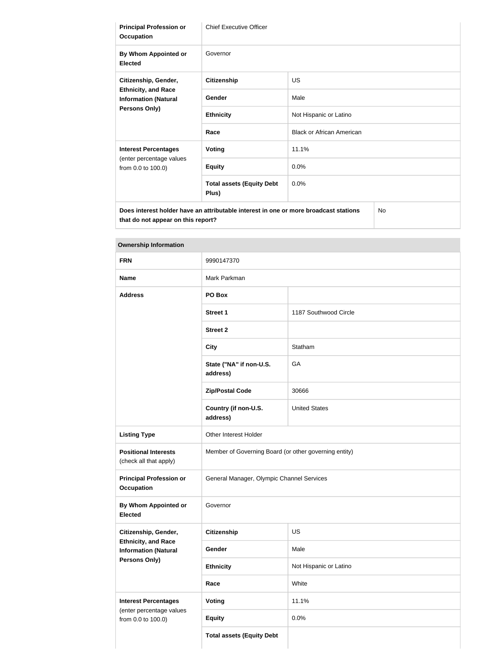| <b>Principal Profession or</b><br><b>Occupation</b>                                                | <b>Chief Executive Officer</b>                                                       |                                  |
|----------------------------------------------------------------------------------------------------|--------------------------------------------------------------------------------------|----------------------------------|
| By Whom Appointed or<br><b>Elected</b>                                                             | Governor                                                                             |                                  |
| Citizenship, Gender,<br><b>Ethnicity, and Race</b><br><b>Information (Natural</b><br>Persons Only) | <b>Citizenship</b>                                                                   | <b>US</b>                        |
|                                                                                                    | Gender                                                                               | Male                             |
|                                                                                                    | <b>Ethnicity</b>                                                                     | Not Hispanic or Latino           |
|                                                                                                    | Race                                                                                 | <b>Black or African American</b> |
| <b>Interest Percentages</b>                                                                        | <b>Voting</b>                                                                        | 11.1%                            |
| (enter percentage values<br>from 0.0 to 100.0)                                                     | <b>Equity</b>                                                                        | 0.0%                             |
|                                                                                                    | <b>Total assets (Equity Debt</b><br>Plus)                                            | 0.0%                             |
| that do not appear on this report?                                                                 | Does interest holder have an attributable interest in one or more broadcast stations | No                               |

| <b>FRN</b>                                                | 9990147370                                            |                        |
|-----------------------------------------------------------|-------------------------------------------------------|------------------------|
| <b>Name</b>                                               | Mark Parkman                                          |                        |
| <b>Address</b>                                            | PO Box                                                |                        |
|                                                           | <b>Street 1</b>                                       | 1187 Southwood Circle  |
|                                                           | <b>Street 2</b>                                       |                        |
|                                                           | <b>City</b>                                           | Statham                |
|                                                           | State ("NA" if non-U.S.<br>address)                   | GA                     |
|                                                           | <b>Zip/Postal Code</b>                                | 30666                  |
|                                                           | Country (if non-U.S.<br>address)                      | <b>United States</b>   |
| <b>Listing Type</b>                                       | Other Interest Holder                                 |                        |
| <b>Positional Interests</b><br>(check all that apply)     | Member of Governing Board (or other governing entity) |                        |
| <b>Principal Profession or</b><br><b>Occupation</b>       | General Manager, Olympic Channel Services             |                        |
| By Whom Appointed or<br><b>Elected</b>                    | Governor                                              |                        |
| Citizenship, Gender,                                      | <b>Citizenship</b>                                    | US                     |
| <b>Ethnicity, and Race</b><br><b>Information (Natural</b> | Gender                                                | Male                   |
| Persons Only)                                             | <b>Ethnicity</b>                                      | Not Hispanic or Latino |
|                                                           | Race                                                  | White                  |
| <b>Interest Percentages</b>                               | <b>Voting</b>                                         | 11.1%                  |
| (enter percentage values<br>from 0.0 to 100.0)            | <b>Equity</b>                                         | 0.0%                   |
|                                                           | <b>Total assets (Equity Debt</b>                      |                        |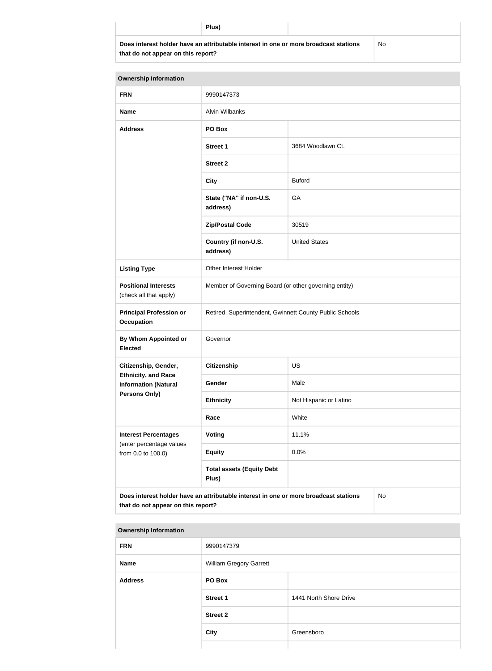**Does interest holder have an attributable interest in one or more broadcast stations that do not appear on this report?**

No

| <b>Ownership Information</b>                                                      |                                                                                      |                        |    |
|-----------------------------------------------------------------------------------|--------------------------------------------------------------------------------------|------------------------|----|
| <b>FRN</b>                                                                        | 9990147373                                                                           |                        |    |
| <b>Name</b>                                                                       | <b>Alvin Wilbanks</b>                                                                |                        |    |
| <b>Address</b>                                                                    | PO Box                                                                               |                        |    |
|                                                                                   | <b>Street 1</b>                                                                      | 3684 Woodlawn Ct.      |    |
|                                                                                   | <b>Street 2</b>                                                                      |                        |    |
|                                                                                   | <b>City</b>                                                                          | <b>Buford</b>          |    |
|                                                                                   | State ("NA" if non-U.S.<br>address)                                                  | GA                     |    |
|                                                                                   | <b>Zip/Postal Code</b>                                                               | 30519                  |    |
|                                                                                   | Country (if non-U.S.<br>address)                                                     | <b>United States</b>   |    |
| <b>Listing Type</b>                                                               | Other Interest Holder                                                                |                        |    |
| <b>Positional Interests</b><br>(check all that apply)                             | Member of Governing Board (or other governing entity)                                |                        |    |
| <b>Principal Profession or</b><br><b>Occupation</b>                               | Retired, Superintendent, Gwinnett County Public Schools                              |                        |    |
| <b>By Whom Appointed or</b><br><b>Elected</b>                                     | Governor                                                                             |                        |    |
| Citizenship, Gender,                                                              | Citizenship                                                                          | <b>US</b>              |    |
| <b>Ethnicity, and Race</b><br><b>Information (Natural</b><br><b>Persons Only)</b> | Gender                                                                               | Male                   |    |
|                                                                                   | <b>Ethnicity</b>                                                                     | Not Hispanic or Latino |    |
|                                                                                   | Race                                                                                 | White                  |    |
| <b>Interest Percentages</b><br>(enter percentage values<br>from 0.0 to 100.0)     | Voting                                                                               | 11.1%                  |    |
|                                                                                   | <b>Equity</b>                                                                        | 0.0%                   |    |
|                                                                                   | <b>Total assets (Equity Debt</b><br>Plus)                                            |                        |    |
| that do not appear on this report?                                                | Does interest holder have an attributable interest in one or more broadcast stations |                        | No |

| <b>Ownership Information</b> |  |
|------------------------------|--|
|------------------------------|--|

| <b>FRN</b>     | 9990147379              |                        |
|----------------|-------------------------|------------------------|
| <b>Name</b>    | William Gregory Garrett |                        |
| <b>Address</b> | PO Box                  |                        |
|                | <b>Street 1</b>         | 1441 North Shore Drive |
|                | <b>Street 2</b>         |                        |
|                | <b>City</b>             | Greensboro             |
|                |                         |                        |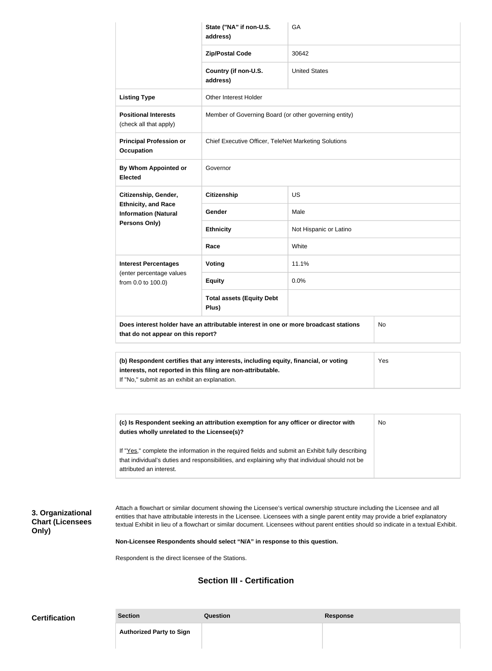|                                                                                                                                                                                                             | State ("NA" if non-U.S.<br>address)                   | GA                     |  |
|-------------------------------------------------------------------------------------------------------------------------------------------------------------------------------------------------------------|-------------------------------------------------------|------------------------|--|
|                                                                                                                                                                                                             | <b>Zip/Postal Code</b>                                | 30642                  |  |
|                                                                                                                                                                                                             | Country (if non-U.S.<br>address)                      | <b>United States</b>   |  |
| <b>Listing Type</b>                                                                                                                                                                                         | <b>Other Interest Holder</b>                          |                        |  |
| <b>Positional Interests</b><br>(check all that apply)                                                                                                                                                       | Member of Governing Board (or other governing entity) |                        |  |
| <b>Principal Profession or</b><br><b>Occupation</b>                                                                                                                                                         | Chief Executive Officer, TeleNet Marketing Solutions  |                        |  |
| By Whom Appointed or<br><b>Elected</b>                                                                                                                                                                      | Governor                                              |                        |  |
| Citizenship, Gender,                                                                                                                                                                                        | <b>Citizenship</b>                                    | <b>US</b>              |  |
| <b>Ethnicity, and Race</b><br><b>Information (Natural</b>                                                                                                                                                   | Gender                                                | Male                   |  |
| Persons Only)                                                                                                                                                                                               | <b>Ethnicity</b>                                      | Not Hispanic or Latino |  |
|                                                                                                                                                                                                             | Race                                                  | White                  |  |
| <b>Interest Percentages</b><br>(enter percentage values<br>from 0.0 to 100.0)                                                                                                                               | <b>Voting</b>                                         | 11.1%                  |  |
|                                                                                                                                                                                                             | <b>Equity</b>                                         | 0.0%                   |  |
|                                                                                                                                                                                                             | <b>Total assets (Equity Debt</b><br>Plus)             |                        |  |
| Does interest holder have an attributable interest in one or more broadcast stations<br><b>No</b><br>that do not appear on this report?                                                                     |                                                       |                        |  |
| (b) Respondent certifies that any interests, including equity, financial, or voting<br>Yes<br>interests, not reported in this filing are non-attributable.<br>If "No," submit as an exhibit an explanation. |                                                       |                        |  |

| (c) Is Respondent seeking an attribution exemption for any officer or director with<br>duties wholly unrelated to the Licensee(s)?                                                                                             | No |
|--------------------------------------------------------------------------------------------------------------------------------------------------------------------------------------------------------------------------------|----|
| If "Yes," complete the information in the required fields and submit an Exhibit fully describing<br>that individual's duties and responsibilities, and explaining why that individual should not be<br>attributed an interest. |    |

## **3. Organizational Chart (Licensees Only)**

Attach a flowchart or similar document showing the Licensee's vertical ownership structure including the Licensee and all entities that have attributable interests in the Licensee. Licensees with a single parent entity may provide a brief explanatory textual Exhibit in lieu of a flowchart or similar document. Licensees without parent entities should so indicate in a textual Exhibit.

**Non-Licensee Respondents should select "N/A" in response to this question.**

Respondent is the direct licensee of the Stations.

## **Section III - Certification**

| <b>Certification</b> | <b>Section</b>                  | Question | Response |
|----------------------|---------------------------------|----------|----------|
|                      | <b>Authorized Party to Sign</b> |          |          |